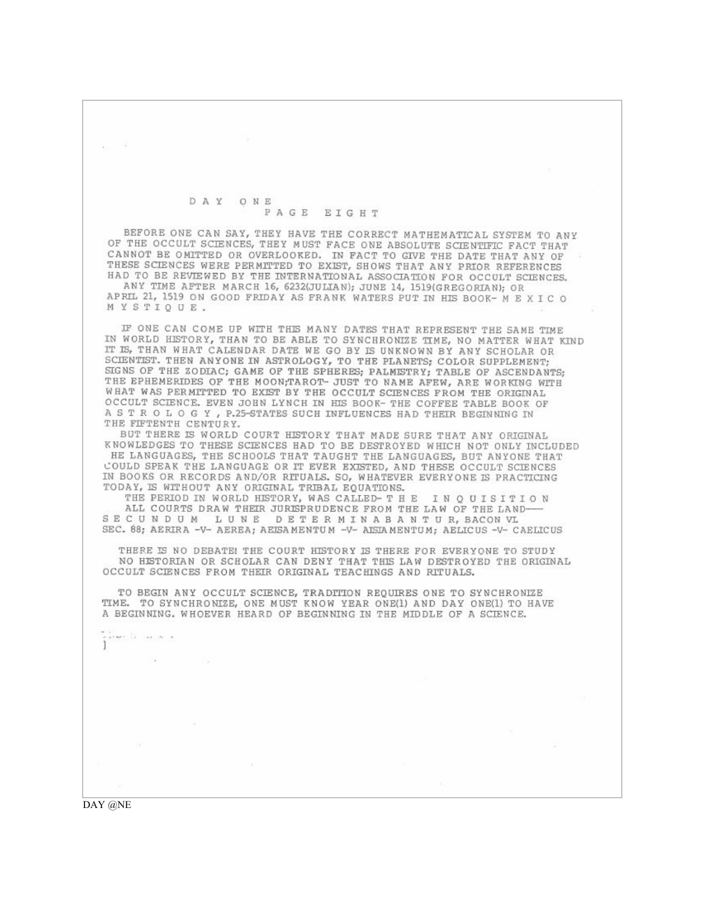## DAY ONE PAGE EIGHT

BEFORE ONE CAN SAY, THEY HAVE THE CORRECT MATHEMATICAL SYSTEM TO ANY OF THE OCCULT SCIENCES, THEY MUST FACE ONE ABSOLUTE SCIENTIFIC FACT THAT CANNOT BE OMITTED OR OVERLOOKED. IN FACT TO GIVE THE DATE THAT ANY OF THESE SCIENCES WERE PERMITTED TO EXIST, SHOWS THAT ANY PRIOR REFERENCES HAD TO BE REVIEWED BY THE INTERNATIONAL ASSOCIATION FOR OCCULT SCIENCES.

ANY TIME AFTER MARCH 16, 6232(JULIAN); JUNE 14, 1519(GREGORIAN); OR APRIL 21, 1519 ON GOOD FRIDAY AS FRANK WATERS PUT IN HIS BOOK- M E X I C O MYSTIOUE.

IF ONE CAN COME UP WITH THIS MANY DATES THAT REPRESENT THE SAME TIME IN WORLD HISTORY, THAN TO BE ABLE TO SYNCHRONIZE TIME, NO MATTER WHAT KIND IT IS, THAN WHAT CALENDAR DATE WE GO BY IS UNKNOWN BY ANY SCHOLAR OR SCIENTIST. THEN ANYONE IN ASTROLOGY, TO THE PLANETS; COLOR SUPPLEMENT; SIGNS OF THE ZODIAC; GAME OF THE SPHERES; PALMISTRY; TABLE OF ASCENDANTS;<br>THE EPHEMERIDES OF THE MOON;TAROT- JUST TO NAME AFEW, ARE WORKING WITH WHAT WAS PERMITTED TO EXIST BY THE OCCULT SCIENCES FROM THE ORIGINAL OCCULT SCIENCE. EVEN JOHN LYNCH IN HIS BOOK- THE COFFEE TABLE BOOK OF A S T R O L O G Y , P.25-STATES SUCH INFLUENCES HAD THEIR BEGINNING IN THE FIFTENTH CENTURY.

BUT THERE IS WORLD COURT HISTORY THAT MADE SURE THAT ANY ORIGINAL KNOWLEDGES TO THESE SCIENCES HAD TO BE DESTROYED WHICH NOT ONLY INCLUDED HE LANGUAGES, THE SCHOOLS THAT TAUGHT THE LANGUAGES, BUT ANYONE THAT COULD SPEAK THE LANGUAGE OR IT EVER EXISTED, AND THESE OCCULT SCIENCES IN BOOKS OR RECORDS AND/OR RITUALS. SO, WHATEVER EVERYONE IS PRACTICING TODAY, IS WITHOUT ANY ORIGINAL TRIBAL EQUATIONS.

THE PERIOD IN WORLD HISTORY, WAS CALLED- T H E IN QUISITION ALL COURTS DRAW THEIR JURISPRUDENCE FROM THE LAW OF THE LAND-SECUNDUM LUNE DETERMINABANTUR, BACONVL SEC. 88; AERIRA -V- AEREA; AEISAMENTUM -V- AISIAMENTUM; AELICUS -V- CAELICUS

THERE IS NO DEBATE! THE COURT HISTORY IS THERE FOR EVERYONE TO STUDY NO HISTORIAN OR SCHOLAR CAN DENY THAT THIS LAW DESTROYED THE ORIGINAL OCCULT SCIENCES FROM THEIR ORIGINAL TEACHINGS AND RITUALS.

TO BEGIN ANY OCCULT SCIENCE, TRADITION REQUIRES ONE TO SYNCHRONIZE TIME. TO SYNCHRONIZE, ONE MUST KNOW YEAR ONE(1) AND DAY ONE(1) TO HAVE A BEGINNING. WHOEVER HEARD OF BEGINNING IN THE MIDDLE OF A SCIENCE.

armet la casciere

**COL** 

DAY @NE